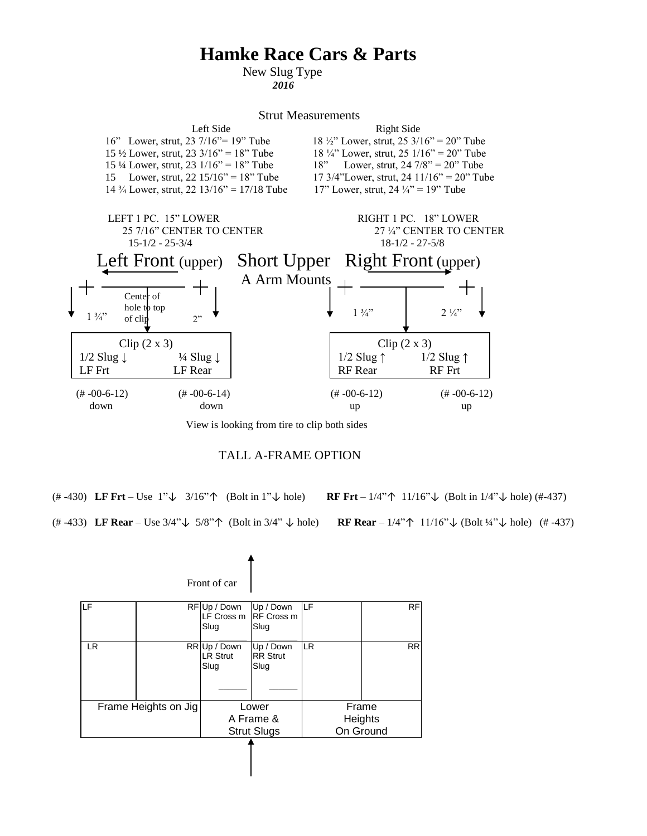# **Hamke Race Cars & Parts**

#### New Slug Type *2016*

Strut Measurements

| Left Side                               |                                                       |              | Right Side                                           |                                                       |  |  |
|-----------------------------------------|-------------------------------------------------------|--------------|------------------------------------------------------|-------------------------------------------------------|--|--|
| 16" Lower, strut, 23 $7/16$ "= 19" Tube |                                                       |              | 18 $\frac{1}{2}$ " Lower, strut, 25 3/16" = 20" Tube |                                                       |  |  |
|                                         | 15 $\frac{1}{2}$ Lower, strut, 23 $3/16$ " = 18" Tube |              |                                                      | 18 $\frac{1}{4}$ Lower, strut, 25 $1/16$ " = 20" Tube |  |  |
|                                         | 15 ¼ Lower, strut, 23 $1/16$ " = 18" Tube             |              |                                                      | 18" Lower, strut, $24\frac{7}{8} = 20$ " Tube         |  |  |
|                                         | 15 Lower, strut, $22 \frac{15}{16}$ = 18" Tube        |              |                                                      | 17 3/4"Lower, strut, 24 $11/16$ " = 20" Tube          |  |  |
|                                         | 14 $\frac{3}{4}$ Lower, strut, 22 13/16" = 17/18 Tube |              |                                                      | 17" Lower, strut, $24\frac{1}{4}$ " = 19" Tube        |  |  |
|                                         |                                                       |              |                                                      |                                                       |  |  |
|                                         | LEFT 1 PC. 15" LOWER                                  |              |                                                      | RIGHT 1 PC. 18" LOWER                                 |  |  |
|                                         | 25 7/16" CENTER TO CENTER                             |              |                                                      | 27 1/4" CENTER TO CENTER                              |  |  |
|                                         | $15 - 1/2 - 25 - 3/4$                                 |              | $18-1/2 - 27-5/8$                                    |                                                       |  |  |
|                                         | Left Front (upper)                                    |              |                                                      | <b>Short Upper</b> Right Front (upper)                |  |  |
|                                         |                                                       | A Arm Mounts |                                                      |                                                       |  |  |
| Center of                               |                                                       |              |                                                      |                                                       |  |  |
| hole to top                             |                                                       |              |                                                      |                                                       |  |  |
| $1\frac{3}{4}$<br>$of$ clip             | 2"                                                    |              | $1\frac{3}{4}$ "                                     | $2\frac{1}{4}$                                        |  |  |
|                                         |                                                       |              |                                                      |                                                       |  |  |
| Clip(2 x 3)                             |                                                       |              |                                                      | Clip(2 x 3)                                           |  |  |
| $1/2$ Slug $\downarrow$                 | $\frac{1}{4}$ Slug $\downarrow$                       |              | $1/2$ Slug $\uparrow$                                | $1/2$ Slug $\uparrow$                                 |  |  |
| LF Frt                                  | LF Rear                                               |              | RF Rear                                              | RF Frt                                                |  |  |
|                                         |                                                       |              |                                                      |                                                       |  |  |
| $(\# -00 -6 - 12)$                      | $(\# -00-6-14)$                                       |              | $(\# -00-6-12)$                                      | $(\# -00-6-12)$                                       |  |  |
| down                                    | down                                                  |              | up                                                   | up                                                    |  |  |

View is looking from tire to clip both sides

#### TALL A-FRAME OPTION

**RF Frt** –  $1/4$ " $\uparrow$  11/16" $\downarrow$  (Bolt in 1/4" $\downarrow$  hole) (#-437)

(# -433) **LF Rear** – Use 3/4"↓ 5/8"↑ (Bolt in 3/4" ↓ hole) **RF Rear** – 1/4"↑ 11/16"↓ (Bolt ¼"↓ hole) (# -437)

|                      |      | Up / Down<br>Slug                                                     |                                         |                  |  | <b>RF</b>          |
|----------------------|------|-----------------------------------------------------------------------|-----------------------------------------|------------------|--|--------------------|
|                      | Slug | Up / Down<br><b>RR Strut</b><br>Slug                                  |                                         |                  |  | <b>RR</b>          |
|                      |      |                                                                       |                                         |                  |  |                    |
| Frame Heights on Jig |      | Lower                                                                 |                                         |                  |  |                    |
|                      |      | A Frame &                                                             |                                         | Heights          |  |                    |
|                      |      |                                                                       |                                         |                  |  |                    |
|                      |      | RF Up / Down<br>LF Cross m<br>Slug<br>RR Up / Down<br><b>LR Strut</b> | <b>RF</b> Cross m<br><b>Strut Slugs</b> | ILF<br><b>LR</b> |  | Frame<br>On Ground |